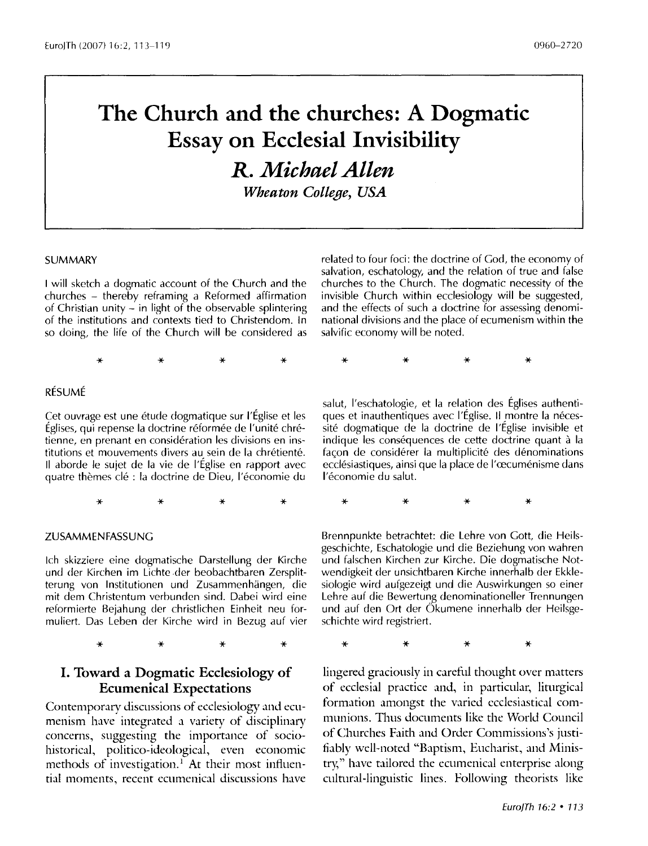# **The Church and the churches: A Dogmatic Essay on Ecclesial Invisibility**

*R. Michael Allen* 

*Wheaton College, USA* 

#### **SUMMARY**

I will sketch a dogmatic account of the Church and the churches - thereby reframing a Reformed affirmation of Christian unity - in light of the observable splintering of the institutions and contexts tied to Christendom. In so doing, the life of the Church will be considered as

related to four foci: the doctrine of God, the economy of salvation, eschatology, and the relation of true and false churches to the Church. The dogmatic necessity of the invisible Church within ecclesiology will be suggested, and the effects of such a doctrine for assessing denominational divisions and the place of ecumenism within the salvific economy will be noted.

\* \* \* \* \* \* \* \*

#### RÉSUMÉ

Cet ouvrage est une étude dogmatique sur l'Église et les Eglises, qui repense la doctrine reformee de l'unite chretienne, en prenant en consideration les divisions en institutions et mouvements divers au sein de la chrétienté. II aborde le sujet de la vie de l'Eglise en rapport avec quatre themes de : la doctrine de Dieu, l'economie du

\* \* \* \*

#### ZUSAMMENFASSUNG

lch skizziere eine dogmatische Darstellung der Kirche und der Kirchen im Lichte der beobachtbaren Zersplitterung von lnstitutionen und Zusammenhangen, die mit dem Christentum verbunden sind. Dabei wird eine reformierte Bejahung der christlichen Einheit neu formuliert. Das Leben der Kirche wird in Bezug auf vier

\* \* \* \*

## **I. Toward a Dogmatic Ecclesiology of Ecumenical Expectations**

Contemporary discussions of ecclesiology and ecumenism have integrated a variety of disciplinary concerns, suggesting the importance of sociohistorical, politico-ideological, even economic methods of investigation.<sup>1</sup> At their most influential moments, recent ecumenical discussions have

salut, l'eschatologie, et la relation des Eglises authentiques et inauthentiques avec l'Église. Il montre la nécessite dogmatique de la doctrine de l'Eglise invisible et indique les conséquences de cette doctrine quant à la façon de considérer la multiplicité des dénominations ecclésiastiques, ainsi que la place de l'œcuménisme dans l'économie du salut.

\* \* \* \*

Brennpunkte betrachtet: die Lehre von Gott, die Heilsgeschichte, Eschatologie und die Beziehung von wahren und falschen Kirchen zur Kirche. Die dogmatische Notwendigkeit der unsichtbaren Kirche innerhalb der Ekklesiologie wird aufgezeigt und die Auswirkungen so einer Lehre auf die Bewertung denominationeller Trennungen und auf den Ort der Okumene innerhalb der Heilsgeschichte wird registriert.

\* \* \* \*

lingered graciously in careful thought over matters of ecclesial practice and, in particular, liturgical formation amongst the varied ecclesiastical communions. Thus documents like the World Council of Churches Faith and Order Commissions 's justifiably well-noted "Baptism, Eucharist, and Ministry," have tailored the ecumenical enterprise along cultural-linguistic lines. Following theorists like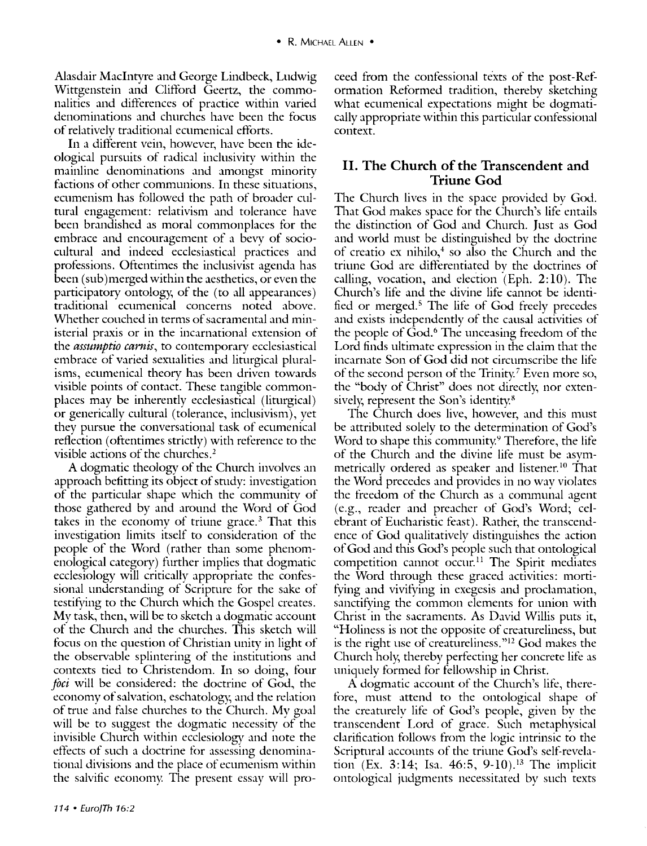Alasdair Macintyre and George Lindbeck, Ludwig Wittgenstein and Clifford Geertz, the commonalities and differences of practice within varied denominations and churches have been the focus of relatively traditional ecumenical efforts.

In a different vein, however, have been the ideological pursuits of radical inclusivity within the mainline denominations and amongst minority factions of other communions. In these situations, ecumenism has followed the path of broader cultural engagement: relativism and tolerance have been brandished as moral commonplaces for the embrace and encouragement of a bevy of sociocultural and indeed ecclesiastical practices and professions. Oftentimes the inclusivist agenda has been (sub) merged within the aesthetics, or even the participatory ontology, of the (to all appearances) traditional ecumenical concerns noted above. Whether couched in terms of sacramental and ministerial praxis or in the incarnational extension of the *assttmptio carnis,* to contemporary ecclesiastical embrace of varied sexualities and liturgical pluralisms, ecumenical theory has been driven towards visible points of contact. These tangible commonplaces may be inherently ecclesiastical (liturgical) or generically cultural (tolerance, inclusivism), yet they pursue the conversational task of ecumenical reflection ( oftentimes strictly) with reference to the visible actions of the churches. 2

A dogmatic theology of the Church involves an approach befitting its object of study: investigation of the particular shape which the community of those gathered by and around the Word of God takes in the economy of triune grace.<sup>3</sup> That this investigation limits itself to consideration of the people of the Word (rather than some phenomenological category) further implies that dogmatic ecclesiology will critically appropriate the confessional understanding of Scripture for the sake of testitying to the Church which the Gospel creates. My task, then, will be to sketch a dogmatic account of the Church and the churches. This sketch will focus on the question of Christian unity in light of the observable splintering of the instinitions and contexts tied to Christendom. In so doing, four *foci* will be considered: the doctrine of God, the economy of salvation, eschatology, and the relation of true and false churches to the Church. My goal will be to suggest the dogmatic necessity of the invisible Church within ecclesiology and note the effects of such a doctrine for assessing denominational divisions and the place of ecumenism within the salvific economy. The present essay will proceed from the confessional texts of the post-Ref· ormation Reformed tradition, thereby sketching what ecumenical expectations might be dogmatically appropriate within this particular confessional context.

## **II. The Church of the Transcendent and Triune God**

The Church lives in the space provided by God. That God makes space for the Church's life entails the distinction of God and Church. Just as God and world must be distinguished by the doctrine of creatio ex nihilo, $4$  so also the Church and the triune God are differentiated by the doctrines of calling, vocation, and election  $(Eph. 2:10)$ . The Church's life and the divine life cannot be identified or merged.<sup>5</sup> The life of God freely precedes and exists independently of the causal activities of the people of God.<sup>6</sup> The unceasing freedom of the Lord finds ultimate expression in the claim that the incarnate Son of God did not circumscribe the life of the second person of the Trinity.<sup>7</sup> Even more so, the "body of Christ" does not directly, nor extensively, represent the Son's identity.<sup>8</sup>

The Church docs live, however, and this must be attributed solely to the determination of God's Word to shape this community.<sup>9</sup> Therefore, the life of the Church and the divine life must be asymmetrically ordered as speaker and listener.<sup>10</sup> That the Word precedes and provides in no way violates the freedom of the Church as a communal agent (e.g., reader and preacher of God's Word; celebrant of Eucharistic feast). Rather, the transcendence of God qualitatively distinguishes the action of God and this God's people such that ontological competition cannot occur.<sup>11</sup> The Spirit mediates the Word through these graced activities: mortifying and vivifying in exegesis and proclamation, sanctifying the common elements for union with Christ in the sacraments. As David Willis puts it, "Holiness is not the opposite of creatureliness, but is the right use of creatureliness." $12$  God makes the Church holy; thereby perfecting her concrete life as uniquely formed for fellowship in Christ.

A dogmatic account of the Church's life, therefore, must attend to the ontological shape of the creaturely life of God's people, given by the transcendent Lord of grace. Such metaphysical clarification follows from the logic intrinsic to the Scriptural accounts of the triune God's self-revelation (Ex. 3:14; Isa. 46:5, 9-10). 13 The implicit ontological judgments necessitated by such texts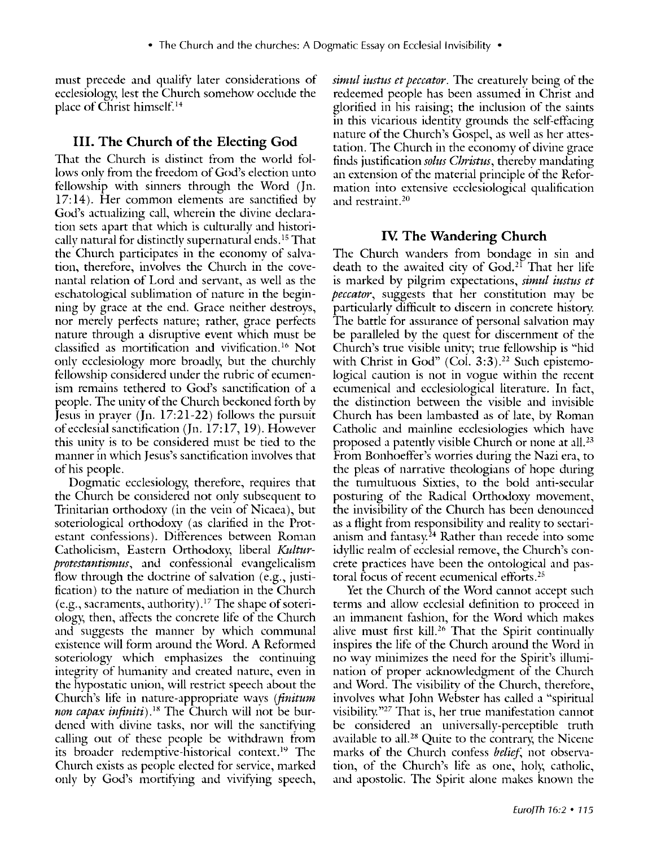must precede and qualify later considerations of ecclesiology, lest the Church somehow occlude the place of Christ himself. 14

# III. **The Church of the Electing God**

That the Church is distinct from the world follows onlv from the freedom of God's election unto fellowship with sinners through the Word (Jn. 17: 14). Her common elements are sanctified bv God's actualizing call, wherein the divine declaration sets apart that which is culturally and historically natural for distinctly supernatural ends.<sup>15</sup> That the Church participates in the economy of salvation, therefore, involves the Church in the covenantal relation of Lord and servant, as well as the eschatological sublimation of namre in the beginning by grace at the end. Grace neither destroys, nor merely perfects nature; rather, grace perfects nature through a disruptive event which must be classified as mortification and vivification. 16 Not only ecclesiology more broadly, but the churchly fellowship considered under the rubric of ecumenism remains tethered to God's sanctification of a people. The unity of the Church beckoned forth by Jesus in prayer (Jn. 17:21-22) follows the pursuit of ecclesial sanctification (Jn. 17: 17, 19). However this unitv is to be considered must be tied to the manner in which Jesus's sanctification involves that of his people.

Dogmatic ecclesiology, therefore, requires that the Church be considered not only subsequent to Trinitarian orthodoxy (in the vein of Nicaea), but soteriological orthodoxy (as clarified in the Protestant confessions). Differences between Roman Catholicism, Eastern Orthodoxy, liberal *Kulturprotestantismus,* and confessional evangelicalism flow through the doctrine of salvation (e.g., justification) to the nature of mediation in the Church (e.g., sacraments, authority).<sup>17</sup> The shape of soteriology, then, affects the concrete life of the Church and suggests the manner by which communal existence will form around the Word. A Reformed soteriology which emphasizes the continuing integrity of humanity and created nature, even in the hypostatic union, will restrict speech about the Church's life in nature-appropriate ways *(finitum*) *non capax inftniti).18* The Church will not be burdened with divine tasks, nor will the sanctifying calling out of these people be withdrawn from its broader redemptive-historical context.<sup>19</sup> The Church exists as people elected for service, marked only by God's mortifying and vivifying speech,

*simul iustus et peccator*. The creaturely being of the redeemed people has been assumed in Christ and glorified in his raising; the inclusion of the saints in this vicarious identity grounds the self-effacing nature of the Church's Gospel, as well as her attestation. The Church in the economy of divine grace finds justification *solus Christus,* thereby mandating an extension of the material principle of the Reformation into extensive ecclesiological qualification and restraint.<sup>20</sup>

# Iv. **The Wandering Church**

The Church wanders from bondage in sin and death to the awaited city of  $God.^{21}$  That her life is marked by pilgrim expectations, *simul iustus et peccator*, suggests that her constitution may be particularly difficult to discern in concrete history. The battle for assurance of personal salvation may be paralleled by the quest for discernment of the Church's true visible unity; trne fellowship is "hid with Christ in God" (Col.  $3:3$ ).<sup>22</sup> Such epistemological caution is not in vogue within the recent ecumenical and ecclesiological literature. In fact, the distinction between the visible and invisible Church has been lambasted as of late, by Roman Catholic and mainline ecclesiologies which have proposed a patently visible Church or none at all.<sup>23</sup> From Bonhoeffer's worries during the Nazi era, to the pleas of narrative theologians of hope during the tumultuous Sixties, to the bold anti-secular posturing of the Radical Orthodoxy movement, the invisibility of the Church has been denounced as a flight from responsibility and reality to sectarianism and fantasy.<sup>24</sup> Rather than recede into some idyllic realm of ecclesial remove, the Church's concrete practices have been the ontological and pastoral focus of recent ecumenical efforts. <sup>25</sup>

Yet the Church of the Word cannot accept such terms and allow ecclesial definition to proceed in an immanent fashion, for the Word which makes alive must first kill.<sup>26</sup> That the Spirit continually inspires the life of the Church around the Word in no way minimizes the need for the Spirit's illumination of proper acknowledgment of the Church and Word. The visibility of the Church, therefore, involves what John Webster has called a "spiritual visibility"27 That is, her trne manifestation cannot be considered an universally-perceptible truth available to all.<sup>28</sup> Quite to the contrary, the Nicene marks of the Church confess *belief;* not observation, of the Church's life as one, holy, catholic, and apostolic. The Spirit alone makes known the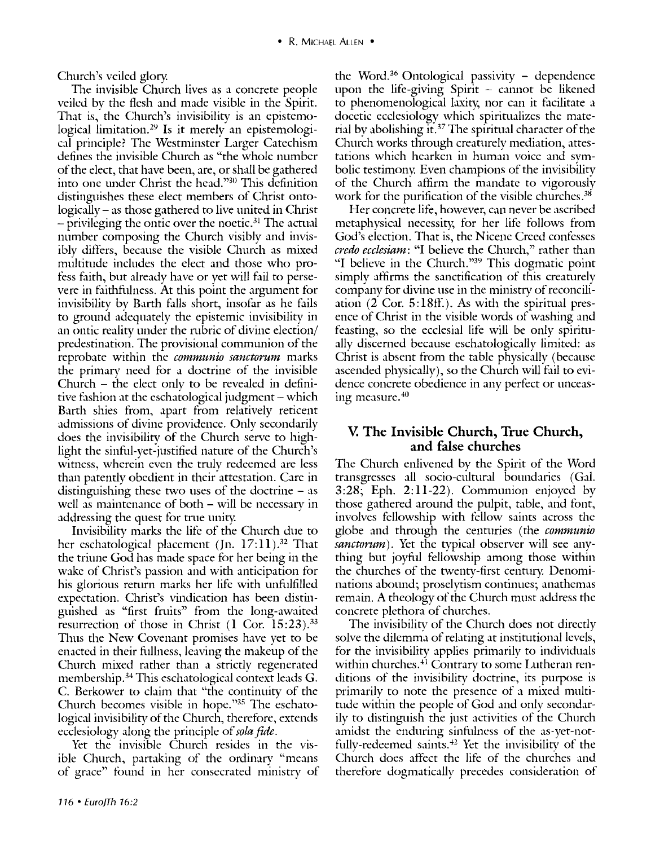Church's veiled glory.

The invisible Church lives as a concrete people veiled by the flesh and made visible in the Spirit. That is, the Church's invisibility is an epistemological limitation.<sup>29</sup> Is it merely an epistemological principle? The Westminster Larger Catechism defines the invisible Church as "the whole number of the elect, that have been, are, or shall be gathered into one under Christ the head."30 This definition distinguishes these elect members of Christ ontologically- as those gathered to live united in Christ  $-$  privileging the ontic over the noetic.<sup>31</sup> The actual number composing the Church visibly and invisibly differs, because the visible Church as mixed multitude includes the elect and those who profess faith, but already have or yet will fail to persevere in faithfulness. At this point the argument for invisibility by Barth falls short, insofar as he fails to ground adequately the epistemic invisibility in an ontic reality under the rnbric of divine election/ predestinatiori. The provisional communion of the reprobate within the *communio sanctorum* marks the primary need for a doctrine of the invisible  $Church - the elect only to be revealed in defini$ tive fashion at the eschatological judgment – which Barth shies from, apart from relatively reticent admissions of divine providence. Only secondarily does the invisibility of the Church serve to highlight the sinful-yet-justified nature of the Church's witness, wherein even the trnly redeemed are less than patently obedient in their attestation. Care in distinguishing these two uses of the doctrine  $-$  as well as maintenance of both – will be necessary in addressing the quest for trne unity.

Invisibility marks the life of the Church due to her eschatological placement (Jn.  $17: 11$ ).<sup>32</sup> That the triune God has made space for her being in the wake of Christ's passion and with anticipation for his glorious return marks her life with unfulfilled expectation. Christ's vindication has been distinguished as "first frnits" from the long-awaited resurrection of those in Christ  $(1 \text{ Cor. } 15:23).$ <sup>33</sup> Thus the New Covenant promises have yet to be enacted in their fullness, leaving the makeup of the Church mixed rather than a strictly regenerated membership.<sup>34</sup> This eschatological context leads G. C. Berkower to claim that "the continuity of the Church becomes visible in hope."<sup>35</sup> The eschatological invisibility of the Church, therefore, extends ecclesiology along the principle of *sola fide*.

Yet the invisible Church resides in the visible Church, partaking of the ordinary "means of grace" found in her consecrated ministiy of the Word.<sup>36</sup> Ontological passivity  $-$  dependence upon the life-giving  $Spirit - cannot be$  likened to phenomenological laxity, nor can it facilitate a docetic ecclesiology which spirinializes the material by abolishing it. 37 The spiritual character of the Church works through creaturely mediation, attestations which hearken in human voice and symbolic testimony. Even champions of the invisibllity of the Church affirm the mandate to vigorously work for the purification of the visible churches.<sup>38</sup>

Her concrete life, however, can never be ascribed metaphysical necessity, for her life follows from God's election. That is, the Nicene Creed confesses *credo ecclesiam:* "I believe the Church," rather than "I believe in the Church."39 This dogmatic point simply affirms the sanctification of this creaturely company for divine use in the ministry of reconciliation (2 Cor. 5:18ff.). As with the spirinial presence of Christ in the visible words of washing and feasting, so the ecclesial life will be only spiritually discerned because eschatologically limited: as Christ is absent from the table physically (because ascended physically), so the Church will fail to evidence concrete obedience in any perfect or unceasing measure.<sup>40</sup>

## **V. The Invisible Church, True Church, and false churches**

The Church enlivened by the Spirit of the Word transgresses all socio-cultural boundaries (Gal. 3:28; Eph. 2:11-22). Communion enjoyed by those gathered around the pulpit, table, and font, involves fellowship with fellow saints across the globe and through the centuries (the *communio sanctorum).* Yet the typical observer will see anything but joyful fellowship among those within the churches of the twenty-first century. Denominations abound; proselytism continues; anathemas remain. A theology of the Church must address the concrete plethora of churches.

The invisibility of the Church does not directly solve the dilemma of relating at institutional levels, for the invisibility applies primarily to individuals within churches.<sup>41</sup> Contrary to some Lutheran renditions of the invisibility doctrine, its purpose is primarily to note the presence of a mixed multitude within the people of God and only secondarily to distinguish the just activities of the Church amidst the enduring sinfulness of the as-yet-notfully-redeemed saints.<sup> $42$ </sup> Yet the invisibility of the Church does affect the life of the churches and therefore dogmatically precedes consideration of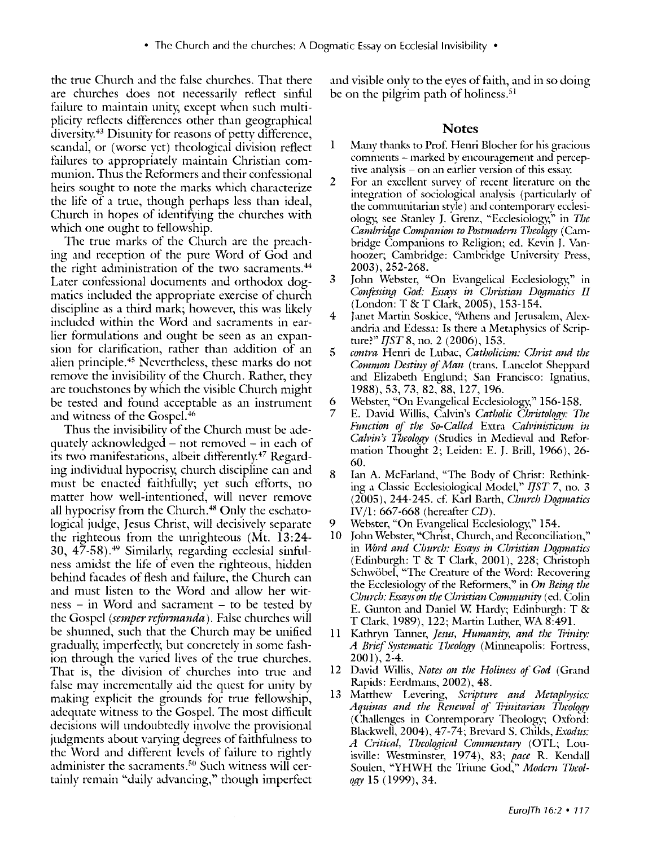the trne Church and the false churches. That there are churches does not necessarily reflect sinful failure to maintain unity, except when such multiplicity reflects differences other than geographical diversity. 43 Disunity for reasons of petty difference, scandal, or (worse yet) theological division reflect failures to appropriately maintain Christian communion. Thus the Reformers and their confessional heirs sought to note the marks which characterize the life of a tme, though perhaps less than ideal, Church in hopes of identifying the churches with which one ought to fellowship.

The true marks of the Church are the preaching and reception of the pure Word of God and the right administration of the two sacraments.<sup>44</sup> Later confessional documents and orthodox dogmatics included the appropriate exercise of church discipline as a third mark; however, this was likely included within the Word and sacraments in earlier formulations and ought be seen as an expansion for clarification, rather than addition of an alien principle.45 Nevertheless, these marks do not remove the invisibility of the Church. Rather, they are touchstones by which the visible Church might be tested and found acceptable as an instrument and witness of the Gospel. 46

Thus the invisibilitv of the Church must be adequately acknowledged – not removed – in each of its two manifestations, albeit differently.<sup>47</sup> Regarding individual hypocrisy, church discipline can and must be enacted faithfully; yet such efforts, no matter how well-intentioned, will never remove all hypocrisy from the Church. 48 Only the eschatological judge, Jesus Christ, will decisively separate the righteous from the unrighteous (Mt. 13:24- 30, 47-58). 49 Similarly; regarding ecclesial sinfulness amidst the life of even the righteous, hidden behind facades of flesh and failure, the Church can and must listen to the Word and allow her wit $ness - in Word and scanner - to be tested by$ the Gospel *(semper refarmanda).* False churches wifl be shunned, such that the Church may be unified gradually, imperfectly, but concretely in some fashion through the varied lives of the true churches. That is, the division of churches into true and false may incrementally aid the guest for unity by making explicit the grounds for true fellowship, adequate witness to the Gospel. The most difficult decisions will undoubtedly involve the provisional judgments about varying degrees of faithfulness to the Word and different levels of failure to rightly administer the sacraments.50 Such witness will certainly remain "daily advancing," though imperfect and visible only to the eyes of faith, and in so doing be on the pilgrim path of holiness.<sup>51</sup>

#### **Notes**

- 1 Many thanks to Prof. Henri Blocher for his gracious comments - marked by encouragement and perceptive analysis - on an earlier version of this essay.
- 2 For an excellent survey of recent literature on the integration of sociological analysis (particularly of the communitarian style) and contemporary ecclesiology, see Stanley J. Grenz, "Ecclesiology," in *The Cambridge Companion to Postmodern Theology (Cam*bridge Companions to Religion; ed. Kevin J. Vanhoozer; Cambridge: Cambridge University Press, 2003), 252-268.
- 3 John Webster, "On Evangelical Ecclesiology," in *Confessing God: Essays in Christian Dogmatics II* (London: T &T Clark, 2005), 153-154.
- 4 Janet Martin Soskice, "Athens and Jerusalem, Alexandria and Edessa: Is there a Metaphysics of Scripnire?" *I]ST* 8, no. 2 (2006), 153.
- 5 *contra* Henri de Lubac, *Catholicism: Christ and the Common Destiny of Man* (trans. Lancelot Sheppard and Elizabeth Englund; San Francisco: Ignatius, 1988), 53, 73, 82, 88, 127, 196.
- 6 Webster, "On Evangelical Ecclesiology," 156-158.
- E. David Willis, Calvin's *Catholic Christology: The Function of the So-Called Extra Calvinisticum in* Calvin's Theology (Studies in Medieval and Reformation Thought 2; Leiden: E. J. Brill, 1966), 26- 60.
- 8 Lm A. McFarland, "The Bodv of Christ: Rethinking a Classic Ecclesiological Model," *I]ST* 7, no. 3 (2005), 244-245. cf. Karl Barth, *Church Dogmatics* IV/l: 667-668 (hereafter *CD).*
- 9 Webster, "On Evangelical Ecclesiology," 154.
- 10 John Webster, "Christ, Church, and Reconciliation," in *Word and Church: Essays in Christian Dogmatics*  $(Edinburgh: T & T$  Clark, 2001), 228; Christoph Schwöbel, "The Creature of the Word: Recovering the Ecclesiology of the Reformers," in *On Being the Church: Essays on the Cbristian Community* (ed. Colin E. Gunton and Daniel W. Hardv; Edinburgh: T & T Clark, 1989), 122; Martin Luther, WA 8:491.
- 11 Kathryn Iumer, *Jesus, Humanity, and the 1hnity: A Brief Systematic Theology* (Mi1meapolis: Fortress, 2001), 2-4.
- 12 David Willis, *Notes on tbe Holiness of God* (Grand Rapids: Eerdmans, 2002), 48.
- 13 Matthew Levering, *Scripture and Metapbysics:*  Aquinas and the Renewal of Trinitarian Theology (Challenges in Contemporary Theology; Oxford: Blackwell, 2004), 47-74; Brevard S. Childs, *Exodus: A Critical, Theological Commentary* (OTL; Louisville: Westminster, 1974), 83; pace R. Kendall Soulen, "YHWH the Triune God," *Modern Theology* 15 (1999), 34.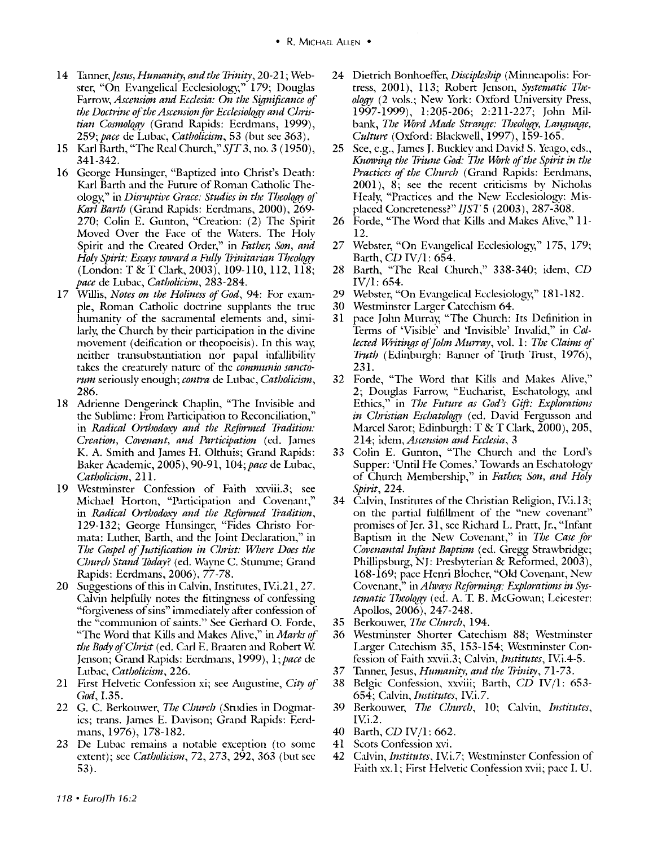- 14 *Tanner,Jesus, Humanity, and the Trinity,* 20-21; Webster, "On Evangelical Ecclesiology," 179; Douglas Farrow, *Ascension and Ecclesia: On the Significance of the Doctrine of the Ascension for Ecclesiology and Chris*tian Cosmology (Grand Rapids: Eerdmans, 1999), *259;pace* de Lubac, *Catholicism,* 53 (but see 363).
- 15 Karl Barth, "The Real Church," *SJT3,* no. 3 (1950), 341-342.
- 16 George Hunsinger, "Baptized into Christ's Death: Karl Barth and the Future of Roman Catholic Theology," in *Disruptive Grace: Studies in the Theology of Karl Barth* (Grand Rapids: Eerdmans, 2000), 269- 270; Colin E. Gunton, "Creation: (2) The Spirit Moved Over the Face of the Waters. The Holv Spirit and the Created Order," in *Father, Son, and*  Holy Spirit: Essays toward a Fully Trinitarian Theology (London: T & T Clark, 2003), 109-110, 112, 118; *pace* de Lubac, *Catholicism,* 283-284.
- 17 Willis, *Notes on the Holiness of God*, 94: For example, Roman Catholic doctrine supphmts the tme humanity of the sacramental elements and, similarly, the Church by their participation in the divine movement (deification or theopoeisis). In this way, neither transubstantiation nor papal infallibility takes the creaturely nature of the *communio sanctorum seriously enough; contra de Lubac, Catholicism,* 286.
- 18 Adrienne Dengerinck Chaplin, "The Invisible and the Sublime: From Participation to Reconciliation," in *Radical Orthodoxy and the &farmed Tradition: Creation, Covenant, and Participation (ed. James* K. A. Smith and James H. Olthuis; Grand Rapids: Baker Academic, 2005), 90-91, *104;pace* de Lubac, *Catholicism,* 211.
- 19 Westminster Confession of Faith xxviii.3; see Michael Horton, "Participation and Covenant," in *Radical Orthodoxy and the Reformed Tradition,*  129-132; George Hunsinger, "Fides Christo Formata: Luther, Barth, and the Joint Declaration," in *The Gwpel of justification in Christ: Where Does the Church Stand Today?* (ed. Wayne C. Stumme; Grand Rapids: Eerdmans, 2006), 77-78.
- 20 Suggestions of this in Calvin, Institutes, IV.i.21, 27. Calvin helpfully notes the fittingness of confessing "forgiveness of sins" immediately after confession of the "communion of saints." See Gerhard 0. Forde, "The Word that Kills and Makes Alive," in *Marks of the Body of Christ* (ed. Carl E. Braaten and Robert W. Jenson; Grand Rapids: Eerdmans, 1999), 1; pace de Lubac, *Catholicism,* 226.
- 21 First Helvetic Confession xi; see Augustine, *City of God,* I.35.
- 22 G. C. Berkouwer, *The Church* (Studies in Dogmatics; trans. James E. Davison; Grand Rapids: Eerdmans, 1976), 178-182.
- 23 De Lubac remains a notable exception (to some extent); see *Catholicism,* 72, 273, 292, 363 (but see 53).
- 24 Dietrich Bonhoeffer, *Discipleship* (Minneapolis: Fortress, 2001), 113; Robert Jenson, *Systematic Theology* (2 vols.; New York: Oxford University Press, 1997-1999), 1:205-206; 2:211-227; John Milbank, *The Word Made Strange: Theology, Language, Culture* (Oxford: Blackwell, 1997), 159-165.
- 25 See, e.g., James J. Buckley and David *S. Yeago, eds., Knowing the Triune God: The Work of the Spirit in the Practices of the Church* (Grand Rapids: Eerdmans, 2001), 8; see the recent criticisms bv Nicholas Healy, "Practices and the New Ecclesiology: Misplaced Concreteness?" *!]ST* 5 (2003), 287-308.
- 26 Forde, "The Word that Kills and Makes Alive," 11-12.
- 27 Webster, "On Evangelical Ecclesiology," 175, 179; Barth, *CD* IV/l: 654.
- 28 Barth, "The Real Church," 338-340; idem, *CD*  IV/l: 654.
- 29 Webster, "On Evangelical Ecclesiology," 181-182.
- 30 Westminster Larger Catechism 64.
- 31 pace John Murray, "The Church: Its Definition in Terms of 'Visible' and 'Invisible' Invalid," in *Collected Writings of John Murray, vol. 1: The Claims of Truth* (Edinburgh: Rumer of Tmth Tmst, 1976), 231.
- 32 Forde, "The Word that Kills and Makes Alive," 2; Douglas Farrow, "Eucharist, Eschatology, and Ethics," in *The Future as God's Gift: Explorations in Christian Eschatology* (ed. David Fergusson and Marcel Sarot; Edinburgh: T & T Clark, 2000), 205, 214; idem, *Ascension and Ecclesia,* 3
- 33 Colin E. Gunton, "The Church and the Lord's Supper: 'Until He Comes.' Towards an Eschatology of Church Membership," in *Father, Son, and Holy Spirit,* 224.
- 34 Calvin, Institutes of the Christian Religion, IV.1.13; on the partial fulfillment of the "new covenant" promises of Jer. 31, see Richard L. Pratt, Jr., "Infant" Baptism in the New Covenant," in *The Case for C0J1enantal Infant Baptism* (ed. Gregg Strawbridge; Phillipsburg, NJ: Presbyterian & Reformed, 2003), 168-169; pace Henri Blocher, "Old Covenant, New Covenant," *inAhvays Reforming: Explorations in Systematic Theology* (ed. A. T. B. McGowan; Leicester: Apollos, 2006), 247-248.
- 35 Berkouwer, *The Church,* 194.
- 36 Westminster Shorter Catechism 88; Westminster Larger Catechism 35, 153-154; Westminster Confession of Faith xxvii.3; Calvin, *Institutes,* IV.i.4-5.
- 37 Tanner, Jesus, *Humanity, and the Trinity*, 71-73.
- 38 Belgic Confession, xxviii; Barth, *CD IV*/1: 653-654; Calvin, *Institutes,* IV.i.7.
- 39 Berkouwer, *The Church,* 10; Calvin, *Institutes,*  IV.i.2.
- 40 Barth, *CD* IV/l: 662.
- 41 Scots Confession xvi.
- 42 Calvin, *Institutes,* IV.i.7; Westminster Confession of Faith xx.1; First Helvetic Confession xvii; pace I. U.